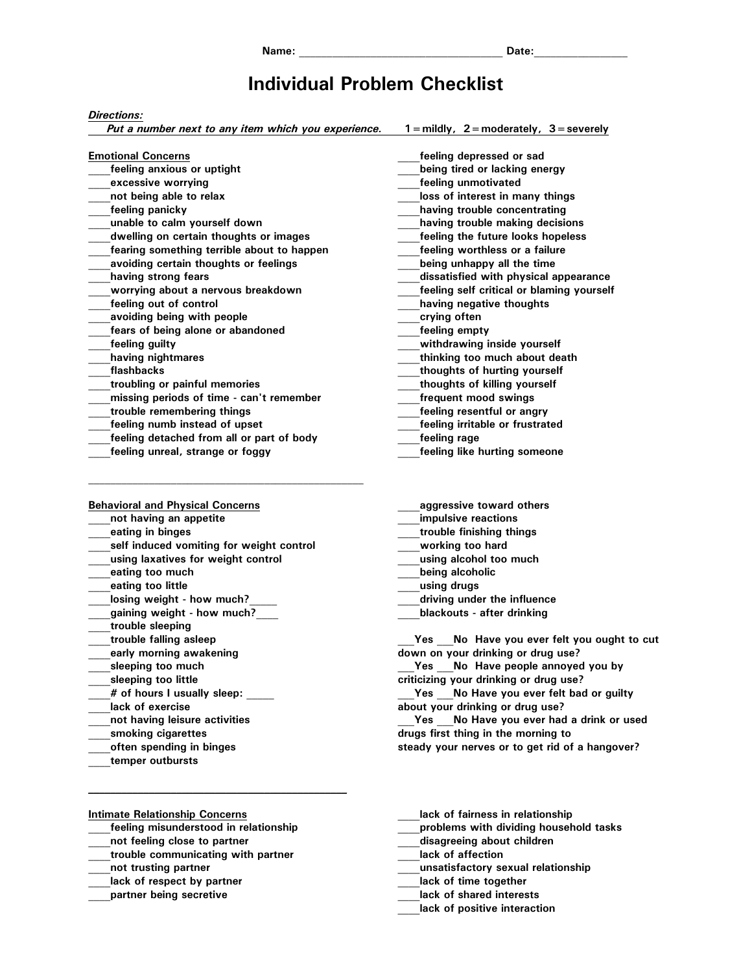## **Individual Problem Checklist**

## *Directions:*

*Put a number next to any item which you experience.* **1=mildly, 2=moderately, 3=severely**

| <b>Emotional Concerns</b>                  | feeling depressed or sad                  |
|--------------------------------------------|-------------------------------------------|
| feeling anxious or uptight                 | being tired or lacking energy             |
| excessive worrying                         | feeling unmotivated                       |
| not being able to relax                    | loss of interest in many things           |
| feeling panicky                            | having trouble concentrating              |
| unable to calm yourself down               | having trouble making decisions           |
| dwelling on certain thoughts or images     | feeling the future looks hopeless         |
| fearing something terrible about to happen | feeling worthless or a failure            |
| avoiding certain thoughts or feelings      | being unhappy all the time                |
| having strong fears                        | dissatisfied with physical appearance     |
| worrying about a nervous breakdown         | feeling self critical or blaming yourself |
| feeling out of control                     | having negative thoughts                  |
| avoiding being with people                 | crying often                              |
| fears of being alone or abandoned          | feeling empty                             |
| feeling guilty                             | withdrawing inside yourself               |
| having nightmares                          | thinking too much about death             |
| flashbacks                                 | thoughts of hurting yourself              |
| troubling or painful memories              | thoughts of killing yourself              |
| missing periods of time - can't remember   | frequent mood swings                      |
| trouble remembering things                 | feeling resentful or angry                |
| feeling numb instead of upset              | feeling irritable or frustrated           |
| feeling detached from all or part of body  | feeling rage                              |
| feeling unreal, strange or foggy           | feeling like hurting someone              |

| <b>Behavioral and Physical Concerns</b>  |
|------------------------------------------|
| not having an appetite                   |
| eating in binges                         |
| self induced vomiting for weight control |
| using laxatives for weight control       |
| eating too much                          |
| eating too little                        |
| losing weight - how much?                |
| gaining weight - how much?               |
| trouble sleeping                         |
| trouble falling asleep                   |
| early morning awakening                  |
| sleeping too much                        |
| sleeping too little                      |
| # of hours I usually sleep:              |
| lack of exercise                         |
| not having leisure activities            |
| smoking cigarettes                       |
| often spending in binges                 |
| temper outbursts                         |
|                                          |

- **\_\_\_\_aggressive toward others**
- **\_\_\_\_impulsive reactions**
- **\_\_\_\_trouble finishing things**
- **\_\_\_\_working too hard**
- **\_\_\_\_using alcohol too much**
- **\_\_\_\_being alcoholic**
- **\_\_\_\_using drugs**
- **\_\_\_\_driving under the influence**
- **\_\_\_\_blackouts after drinking**

**\_\_\_Yes \_\_\_No Have you ever felt you ought to cut down on your drinking or drug use?** 

Yes No Have people annoyed you by **criticizing your drinking or drug use?** 

**\_\_\_Yes \_\_\_No Have you ever felt bad or guilty about your drinking or drug use?** 

**\_\_\_Yes \_\_\_No Have you ever had a drink or used drugs first thing in the morning to** 

**steady your nerves or to get rid of a hangover?** 

**Intimate Relationship Concerns**

**\_\_\_\_feeling misunderstood in relationship** 

 $\mathcal{L} = \{ \mathcal{L} \}$ 

- **\_\_\_\_not feeling close to partner**
- **\_\_\_\_trouble communicating with partner**
- **\_\_\_\_not trusting partner**
- **\_\_\_\_lack of respect by partner**
- **\_\_\_\_partner being secretive**
- **\_\_\_\_lack of fairness in relationship**
- **\_\_\_\_problems with dividing household tasks**
- **\_\_\_\_disagreeing about children**
- **\_\_\_\_lack of affection**
- **\_\_\_\_unsatisfactory sexual relationship**
- **\_\_\_\_lack of time together**
- **\_\_\_\_lack of shared interests**
- **\_\_\_\_lack of positive interaction**